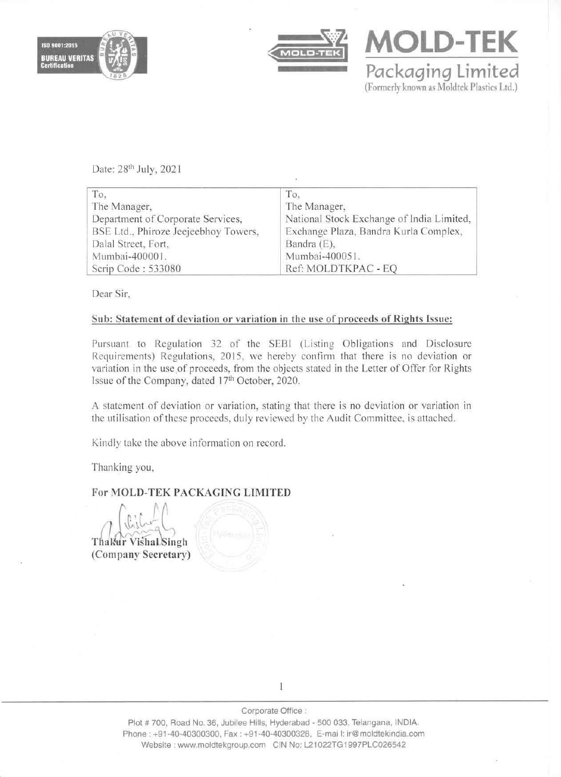



**MOLD-TEK** Packaging Limited (Formerly known as Moldtek Plastics Ltd.)

Date: 28th July, 2021

| To.                                  | To.                                       |
|--------------------------------------|-------------------------------------------|
| The Manager,                         | The Manager,                              |
| Department of Corporate Services,    | National Stock Exchange of India Limited, |
| BSE Ltd., Phiroze Jeejeebhoy Towers, | Exchange Plaza, Bandra Kurla Complex,     |
| Dalal Street, Fort,                  | Bandra (E),                               |
| Mumbai-400001.                       | Mumbai-400051.                            |
| Scrip Code: 533080                   | Ref: MOLDTKPAC - EQ                       |

Dear Sir.

## Sub: Statement of deviation or variation in the use of proceeds of Rights Issue:

Pursuant to Regulation 32 of the SEBI (Listing Obligations and Disclosure Requirements) Regulations, 2015. we hereby confirm that there is no deviation or variation in the use of proceeds, from the objects stated in the Letter of Offer for Rights Issue of the Company, dated 17th October, 2020.

A statement of deviation or variation. stating that there is no deviation or variation in the utilisation of these proceeds, duly reviewed by the Audit Committee, is attached.

Kindly take the above information on record.

Thanking you,

# For MOLD-TEK PACKAGING LIMITED

Thakur Vishal Singh (Company Secretary)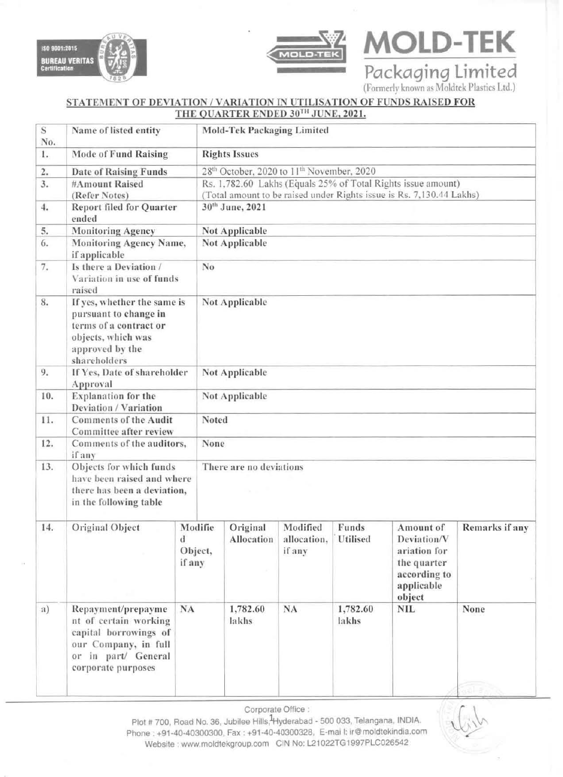



Packaging Limited

**MOLD-TEK** 

### STATEMENT OF DEVIATION / VARIATION IN UTILISATION OF FUNDS RAISED FOR THE OUARTER ENDED 30TH JUNE, 2021.

| S<br>No. | Name of listed entity                                                                                                                     |                                  |                                                                      | <b>Mold-Tek Packaging Limited</b> |                                   |                   |                                                                                                 |                |  |  |
|----------|-------------------------------------------------------------------------------------------------------------------------------------------|----------------------------------|----------------------------------------------------------------------|-----------------------------------|-----------------------------------|-------------------|-------------------------------------------------------------------------------------------------|----------------|--|--|
| 1.       | <b>Mode of Fund Raising</b>                                                                                                               |                                  | <b>Rights Issues</b>                                                 |                                   |                                   |                   |                                                                                                 |                |  |  |
| 2.       | <b>Date of Raising Funds</b>                                                                                                              |                                  | 28 <sup>th</sup> October, 2020 to 11 <sup>th</sup> November, 2020    |                                   |                                   |                   |                                                                                                 |                |  |  |
| 3.       | #Amount Raised                                                                                                                            |                                  | Rs. 1,782.60 Lakhs (Equals 25% of Total Rights issue amount)         |                                   |                                   |                   |                                                                                                 |                |  |  |
|          | (Refer Notes)                                                                                                                             |                                  | (Total amount to be raised under Rights issue is Rs. 7,130.44 Lakhs) |                                   |                                   |                   |                                                                                                 |                |  |  |
| 4.       | <b>Report filed for Quarter</b><br>ended                                                                                                  |                                  | 30th June, 2021                                                      |                                   |                                   |                   |                                                                                                 |                |  |  |
| 5.       | <b>Monitoring Agency</b>                                                                                                                  |                                  | Not Applicable                                                       |                                   |                                   |                   |                                                                                                 |                |  |  |
| 6.       | Monitoring Agency Name,<br>if applicable                                                                                                  |                                  | Not Applicable                                                       |                                   |                                   |                   |                                                                                                 |                |  |  |
| 7.       | Is there a Deviation /<br>Variation in use of funds<br>raised                                                                             |                                  | No                                                                   |                                   |                                   |                   |                                                                                                 |                |  |  |
| 8.       | If yes, whether the same is<br>pursuant to change in<br>terms of a contract or<br>objects, which was<br>approved by the<br>shareholders   |                                  | Not Applicable                                                       |                                   |                                   |                   |                                                                                                 |                |  |  |
| 9.       | If Yes, Date of shareholder<br>Approval                                                                                                   |                                  | Not Applicable                                                       |                                   |                                   |                   |                                                                                                 |                |  |  |
| 10.      | Explanation for the<br>Deviation / Variation                                                                                              |                                  | Not Applicable                                                       |                                   |                                   |                   |                                                                                                 |                |  |  |
| 11.      | <b>Comments of the Audit</b><br>Committee after review                                                                                    |                                  | Noted                                                                |                                   |                                   |                   |                                                                                                 |                |  |  |
| 12.      | if any                                                                                                                                    | Comments of the auditors,        |                                                                      | None                              |                                   |                   |                                                                                                 |                |  |  |
| 13.      | Objects for which funds<br>have been raised and where<br>there has been a deviation,<br>in the following table                            |                                  | There are no deviations                                              |                                   |                                   |                   |                                                                                                 |                |  |  |
| 14.      | Original Object                                                                                                                           | $\mathbf d$<br>Object,<br>if any | Modifie                                                              | Original<br>Allocation            | Modified<br>allocation,<br>if any | Funds<br>Utilised | Amount of<br>Deviation/V<br>ariation for<br>the quarter<br>according to<br>applicable<br>object | Remarks if any |  |  |
| a)       | Repayment/prepayme<br>nt of certain working<br>capital borrowings of<br>our Company, in full<br>or in part/ General<br>corporate purposes | <b>NA</b>                        |                                                                      | 1,782.60<br>lakhs                 | NA                                | 1,782.60<br>lakhs | <b>NIL</b>                                                                                      | None           |  |  |

Corporate Office :

Plot # 700, Road No. 36, Jubilee Hills, Hyderabad - 500 033, Telangana, INDIA. Phone: +91-40-40300300, Fax: +91-40-40300328, E-mail: ir@moldtekindia.com Website : www.moldtekgroup.com CIN No: L21022TG1997PLC026542